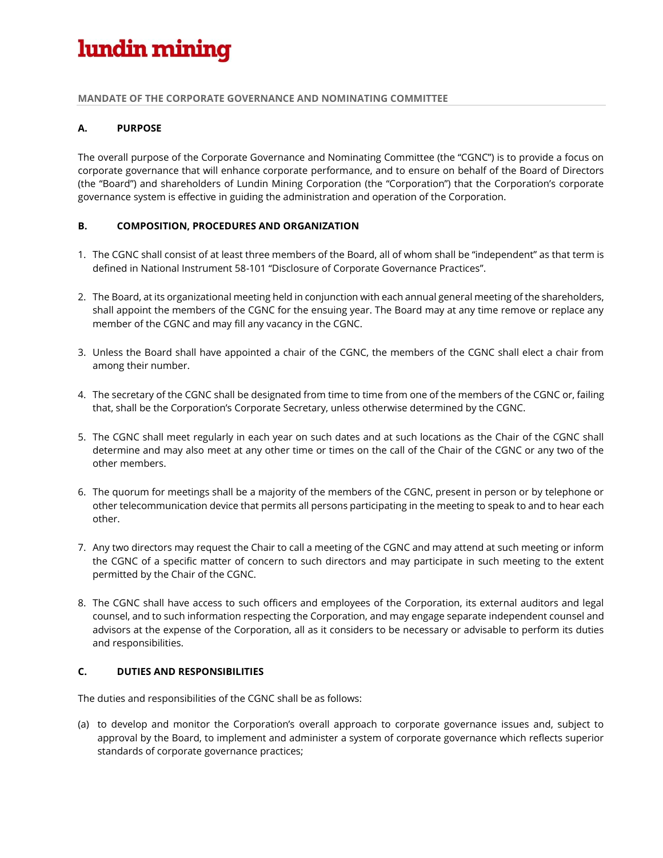# lundin mining

#### **MANDATE OF THE CORPORATE GOVERNANCE AND NOMINATING COMMITTEE**

#### **A. PURPOSE**

The overall purpose of the Corporate Governance and Nominating Committee (the "CGNC") is to provide a focus on corporate governance that will enhance corporate performance, and to ensure on behalf of the Board of Directors (the "Board") and shareholders of Lundin Mining Corporation (the "Corporation") that the Corporation's corporate governance system is effective in guiding the administration and operation of the Corporation.

### **B. COMPOSITION, PROCEDURES AND ORGANIZATION**

- 1. The CGNC shall consist of at least three members of the Board, all of whom shall be "independent" as that term is defined in National Instrument 58-101 "Disclosure of Corporate Governance Practices".
- 2. The Board, at its organizational meeting held in conjunction with each annual general meeting of the shareholders, shall appoint the members of the CGNC for the ensuing year. The Board may at any time remove or replace any member of the CGNC and may fill any vacancy in the CGNC.
- 3. Unless the Board shall have appointed a chair of the CGNC, the members of the CGNC shall elect a chair from among their number.
- 4. The secretary of the CGNC shall be designated from time to time from one of the members of the CGNC or, failing that, shall be the Corporation's Corporate Secretary, unless otherwise determined by the CGNC.
- 5. The CGNC shall meet regularly in each year on such dates and at such locations as the Chair of the CGNC shall determine and may also meet at any other time or times on the call of the Chair of the CGNC or any two of the other members.
- 6. The quorum for meetings shall be a majority of the members of the CGNC, present in person or by telephone or other telecommunication device that permits all persons participating in the meeting to speak to and to hear each other.
- 7. Any two directors may request the Chair to call a meeting of the CGNC and may attend at such meeting or inform the CGNC of a specific matter of concern to such directors and may participate in such meeting to the extent permitted by the Chair of the CGNC.
- 8. The CGNC shall have access to such officers and employees of the Corporation, its external auditors and legal counsel, and to such information respecting the Corporation, and may engage separate independent counsel and advisors at the expense of the Corporation, all as it considers to be necessary or advisable to perform its duties and responsibilities.

#### **C. DUTIES AND RESPONSIBILITIES**

The duties and responsibilities of the CGNC shall be as follows:

(a) to develop and monitor the Corporation's overall approach to corporate governance issues and, subject to approval by the Board, to implement and administer a system of corporate governance which reflects superior standards of corporate governance practices;